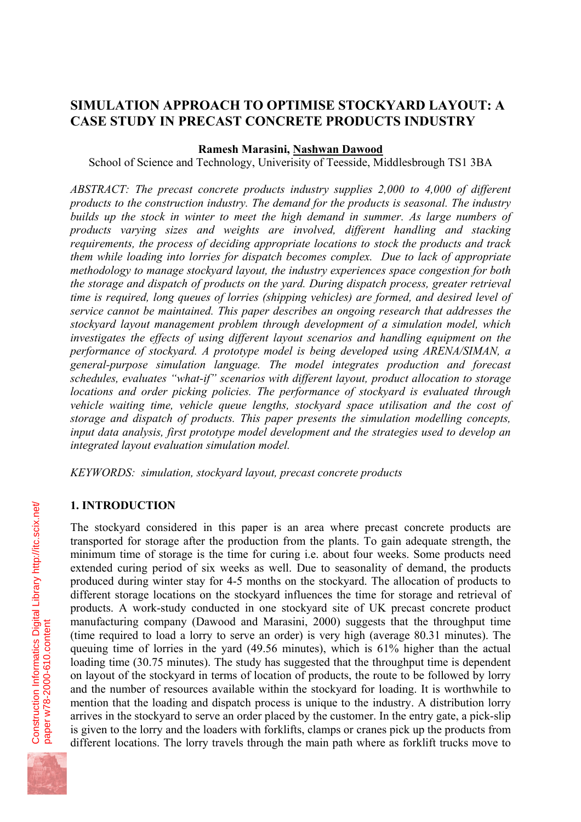# **SIMULATION APPROACH TO OPTIMISE STOCKYARD LAYOUT: A CASE STUDY IN PRECAST CONCRETE PRODUCTS INDUSTRY**

#### **Ramesh Marasini, Nashwan Dawood**

School of Science and Technology, Univerisity of Teesside, Middlesbrough TS1 3BA

*ABSTRACT: The precast concrete products industry supplies 2,000 to 4,000 of different products to the construction industry. The demand for the products is seasonal. The industry builds up the stock in winter to meet the high demand in summer. As large numbers of products varying sizes and weights are involved, different handling and stacking requirements, the process of deciding appropriate locations to stock the products and track them while loading into lorries for dispatch becomes complex. Due to lack of appropriate methodology to manage stockyard layout, the industry experiences space congestion for both the storage and dispatch of products on the yard. During dispatch process, greater retrieval time is required, long queues of lorries (shipping vehicles) are formed, and desired level of service cannot be maintained. This paper describes an ongoing research that addresses the stockyard layout management problem through development of a simulation model, which investigates the effects of using different layout scenarios and handling equipment on the performance of stockyard. A prototype model is being developed using ARENA/SIMAN, a general-purpose simulation language. The model integrates production and forecast schedules, evaluates "what-if" scenarios with different layout, product allocation to storage locations and order picking policies. The performance of stockyard is evaluated through vehicle waiting time, vehicle queue lengths, stockyard space utilisation and the cost of storage and dispatch of products. This paper presents the simulation modelling concepts, input data analysis, first prototype model development and the strategies used to develop an integrated layout evaluation simulation model.* 

*KEYWORDS: simulation, stockyard layout, precast concrete products* 

#### **1. INTRODUCTION**

The stockyard considered in this paper is an area where precast concrete products are transported for storage after the production from the plants. To gain adequate strength, the minimum time of storage is the time for curing i.e. about four weeks. Some products need extended curing period of six weeks as well. Due to seasonality of demand, the products produced during winter stay for 4-5 months on the stockyard. The allocation of products to different storage locations on the stockyard influences the time for storage and retrieval of products. A work-study conducted in one stockyard site of UK precast concrete product manufacturing company (Dawood and Marasini, 2000) suggests that the throughput time (time required to load a lorry to serve an order) is very high (average 80.31 minutes). The queuing time of lorries in the yard (49.56 minutes), which is 61% higher than the actual loading time (30.75 minutes). The study has suggested that the throughput time is dependent on layout of the stockyard in terms of location of products, the route to be followed by lorry and the number of resources available within the stockyard for loading. It is worthwhile to mention that the loading and dispatch process is unique to the industry. A distribution lorry arrives in the stockyard to serve an order placed by the customer. In the entry gate, a pick-slip is given to the lorry and the loaders with forklifts, clamps or cranes pick up the products from different locations. The lorry travels through the main path where as forklift trucks move to

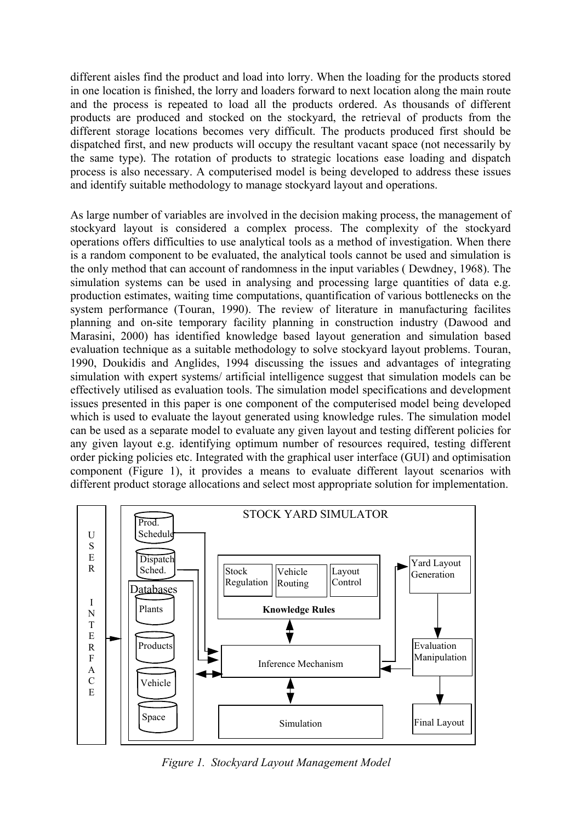different aisles find the product and load into lorry. When the loading for the products stored in one location is finished, the lorry and loaders forward to next location along the main route and the process is repeated to load all the products ordered. As thousands of different products are produced and stocked on the stockyard, the retrieval of products from the different storage locations becomes very difficult. The products produced first should be dispatched first, and new products will occupy the resultant vacant space (not necessarily by the same type). The rotation of products to strategic locations ease loading and dispatch process is also necessary. A computerised model is being developed to address these issues and identify suitable methodology to manage stockyard layout and operations.

As large number of variables are involved in the decision making process, the management of stockyard layout is considered a complex process. The complexity of the stockyard operations offers difficulties to use analytical tools as a method of investigation. When there is a random component to be evaluated, the analytical tools cannot be used and simulation is the only method that can account of randomness in the input variables ( Dewdney, 1968). The simulation systems can be used in analysing and processing large quantities of data e.g. production estimates, waiting time computations, quantification of various bottlenecks on the system performance (Touran, 1990). The review of literature in manufacturing facilites planning and on-site temporary facility planning in construction industry (Dawood and Marasini, 2000) has identified knowledge based layout generation and simulation based evaluation technique as a suitable methodology to solve stockyard layout problems. Touran, 1990, Doukidis and Anglides, 1994 discussing the issues and advantages of integrating simulation with expert systems/ artificial intelligence suggest that simulation models can be effectively utilised as evaluation tools. The simulation model specifications and development issues presented in this paper is one component of the computerised model being developed which is used to evaluate the layout generated using knowledge rules. The simulation model can be used as a separate model to evaluate any given layout and testing different policies for any given layout e.g. identifying optimum number of resources required, testing different order picking policies etc. Integrated with the graphical user interface (GUI) and optimisation component (Figure 1), it provides a means to evaluate different layout scenarios with different product storage allocations and select most appropriate solution for implementation.



*Figure 1. Stockyard Layout Management Model*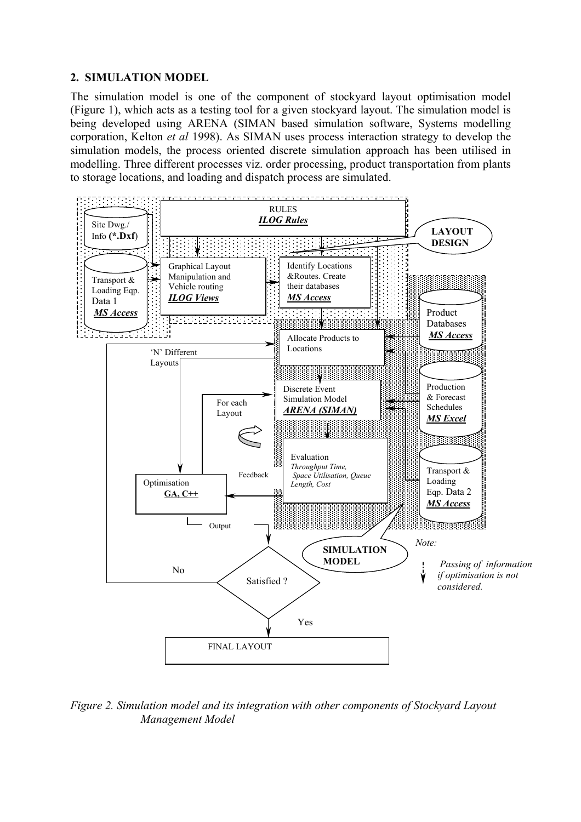### **2. SIMULATION MODEL**

The simulation model is one of the component of stockyard layout optimisation model (Figure 1), which acts as a testing tool for a given stockyard layout. The simulation model is being developed using ARENA (SIMAN based simulation software, Systems modelling corporation, Kelton *et al* 1998). As SIMAN uses process interaction strategy to develop the simulation models, the process oriented discrete simulation approach has been utilised in modelling. Three different processes viz. order processing, product transportation from plants to storage locations, and loading and dispatch process are simulated.



*Figure 2. Simulation model and its integration with other components of Stockyard Layout Management Model*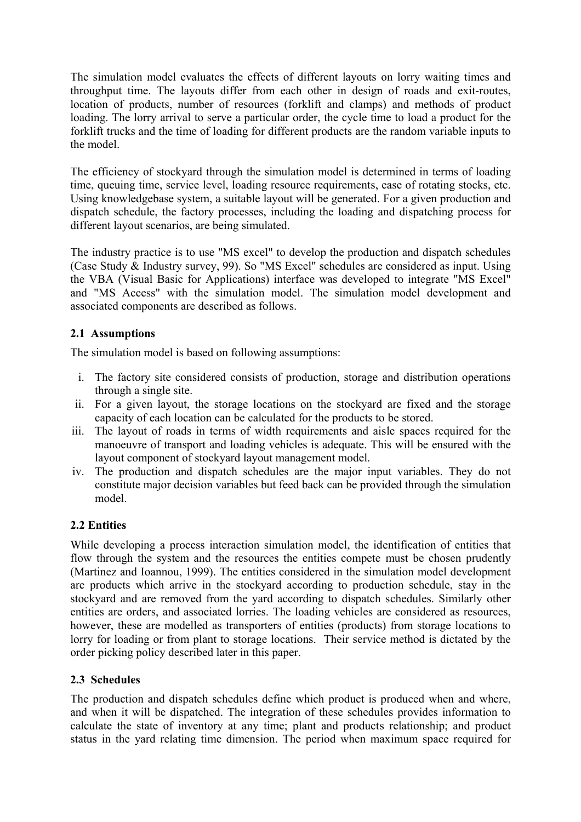The simulation model evaluates the effects of different layouts on lorry waiting times and throughput time. The layouts differ from each other in design of roads and exit-routes, location of products, number of resources (forklift and clamps) and methods of product loading. The lorry arrival to serve a particular order, the cycle time to load a product for the forklift trucks and the time of loading for different products are the random variable inputs to the model.

The efficiency of stockyard through the simulation model is determined in terms of loading time, queuing time, service level, loading resource requirements, ease of rotating stocks, etc. Using knowledgebase system, a suitable layout will be generated. For a given production and dispatch schedule, the factory processes, including the loading and dispatching process for different layout scenarios, are being simulated.

The industry practice is to use "MS excel" to develop the production and dispatch schedules (Case Study & Industry survey, 99). So "MS Excel" schedules are considered as input. Using the VBA (Visual Basic for Applications) interface was developed to integrate "MS Excel" and "MS Access" with the simulation model. The simulation model development and associated components are described as follows.

## **2.1 Assumptions**

The simulation model is based on following assumptions:

- i. The factory site considered consists of production, storage and distribution operations through a single site.
- ii. For a given layout, the storage locations on the stockyard are fixed and the storage capacity of each location can be calculated for the products to be stored.
- iii. The layout of roads in terms of width requirements and aisle spaces required for the manoeuvre of transport and loading vehicles is adequate. This will be ensured with the layout component of stockyard layout management model.
- iv. The production and dispatch schedules are the major input variables. They do not constitute major decision variables but feed back can be provided through the simulation model.

## **2.2 Entities**

While developing a process interaction simulation model, the identification of entities that flow through the system and the resources the entities compete must be chosen prudently (Martinez and Ioannou, 1999). The entities considered in the simulation model development are products which arrive in the stockyard according to production schedule, stay in the stockyard and are removed from the yard according to dispatch schedules. Similarly other entities are orders, and associated lorries. The loading vehicles are considered as resources, however, these are modelled as transporters of entities (products) from storage locations to lorry for loading or from plant to storage locations. Their service method is dictated by the order picking policy described later in this paper.

## **2.3 Schedules**

The production and dispatch schedules define which product is produced when and where, and when it will be dispatched. The integration of these schedules provides information to calculate the state of inventory at any time; plant and products relationship; and product status in the yard relating time dimension. The period when maximum space required for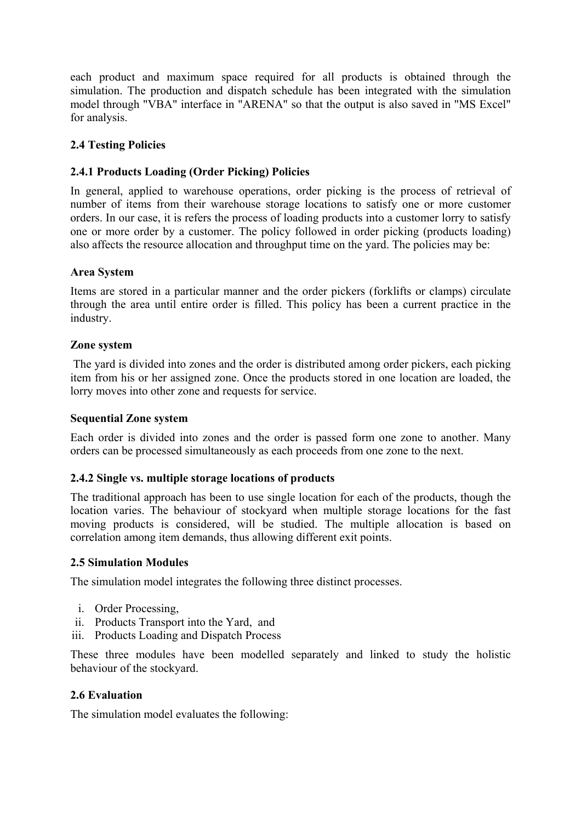each product and maximum space required for all products is obtained through the simulation. The production and dispatch schedule has been integrated with the simulation model through "VBA" interface in "ARENA" so that the output is also saved in "MS Excel" for analysis.

## **2.4 Testing Policies**

## **2.4.1 Products Loading (Order Picking) Policies**

In general, applied to warehouse operations, order picking is the process of retrieval of number of items from their warehouse storage locations to satisfy one or more customer orders. In our case, it is refers the process of loading products into a customer lorry to satisfy one or more order by a customer. The policy followed in order picking (products loading) also affects the resource allocation and throughput time on the yard. The policies may be:

## **Area System**

Items are stored in a particular manner and the order pickers (forklifts or clamps) circulate through the area until entire order is filled. This policy has been a current practice in the industry.

### **Zone system**

 The yard is divided into zones and the order is distributed among order pickers, each picking item from his or her assigned zone. Once the products stored in one location are loaded, the lorry moves into other zone and requests for service.

## **Sequential Zone system**

Each order is divided into zones and the order is passed form one zone to another. Many orders can be processed simultaneously as each proceeds from one zone to the next.

#### **2.4.2 Single vs. multiple storage locations of products**

The traditional approach has been to use single location for each of the products, though the location varies. The behaviour of stockyard when multiple storage locations for the fast moving products is considered, will be studied. The multiple allocation is based on correlation among item demands, thus allowing different exit points.

#### **2.5 Simulation Modules**

The simulation model integrates the following three distinct processes.

- i. Order Processing,
- ii. Products Transport into the Yard, and
- iii. Products Loading and Dispatch Process

These three modules have been modelled separately and linked to study the holistic behaviour of the stockyard.

## **2.6 Evaluation**

The simulation model evaluates the following: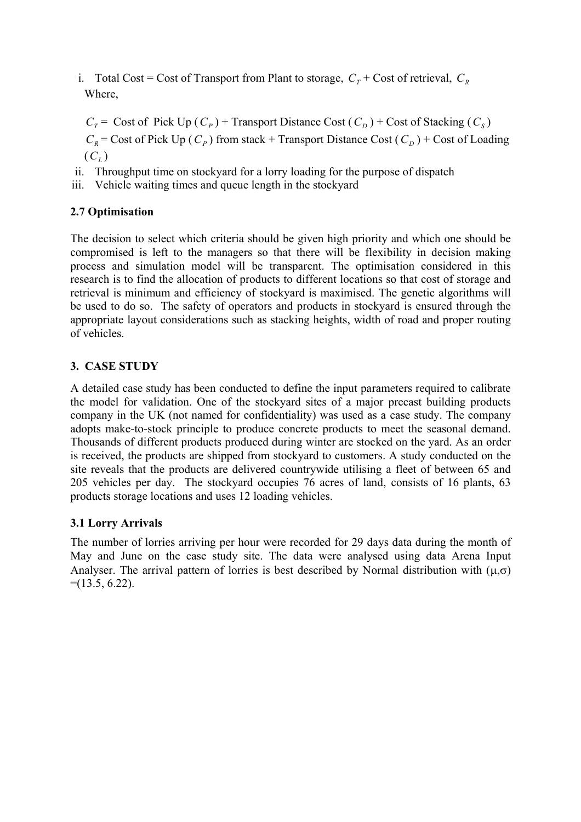i. Total Cost = Cost of Transport from Plant to storage,  $C_r$  + Cost of retrieval,  $C_R$ Where,

*C<sub>T</sub>* = Cost of Pick Up  $(C_p)$  + Transport Distance Cost  $(C_p)$  + Cost of Stacking  $(C_s)$  $C_R$  = Cost of Pick Up ( $C_P$ ) from stack + Transport Distance Cost ( $C_D$ ) + Cost of Loading  $(C_L)$ 

- ii. Throughput time on stockyard for a lorry loading for the purpose of dispatch
- iii. Vehicle waiting times and queue length in the stockyard

## **2.7 Optimisation**

The decision to select which criteria should be given high priority and which one should be compromised is left to the managers so that there will be flexibility in decision making process and simulation model will be transparent. The optimisation considered in this research is to find the allocation of products to different locations so that cost of storage and retrieval is minimum and efficiency of stockyard is maximised. The genetic algorithms will be used to do so. The safety of operators and products in stockyard is ensured through the appropriate layout considerations such as stacking heights, width of road and proper routing of vehicles.

## **3. CASE STUDY**

A detailed case study has been conducted to define the input parameters required to calibrate the model for validation. One of the stockyard sites of a major precast building products company in the UK (not named for confidentiality) was used as a case study. The company adopts make-to-stock principle to produce concrete products to meet the seasonal demand. Thousands of different products produced during winter are stocked on the yard. As an order is received, the products are shipped from stockyard to customers. A study conducted on the site reveals that the products are delivered countrywide utilising a fleet of between 65 and 205 vehicles per day. The stockyard occupies 76 acres of land, consists of 16 plants, 63 products storage locations and uses 12 loading vehicles.

## **3.1 Lorry Arrivals**

The number of lorries arriving per hour were recorded for 29 days data during the month of May and June on the case study site. The data were analysed using data Arena Input Analyser. The arrival pattern of lorries is best described by Normal distribution with  $(\mu, \sigma)$  $=(13.5, 6.22)$ .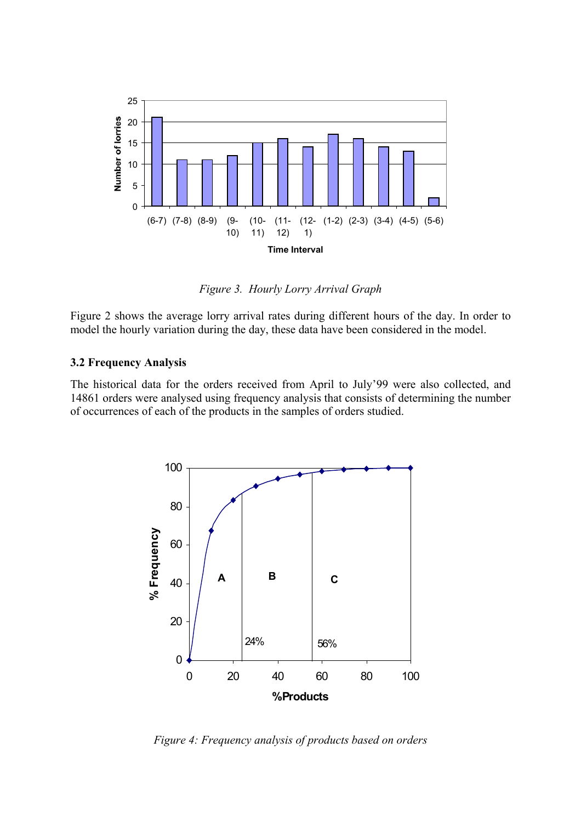

*Figure 3. Hourly Lorry Arrival Graph* 

Figure 2 shows the average lorry arrival rates during different hours of the day. In order to model the hourly variation during the day, these data have been considered in the model.

#### **3.2 Frequency Analysis**

The historical data for the orders received from April to July'99 were also collected, and 14861 orders were analysed using frequency analysis that consists of determining the number of occurrences of each of the products in the samples of orders studied.



*Figure 4: Frequency analysis of products based on orders*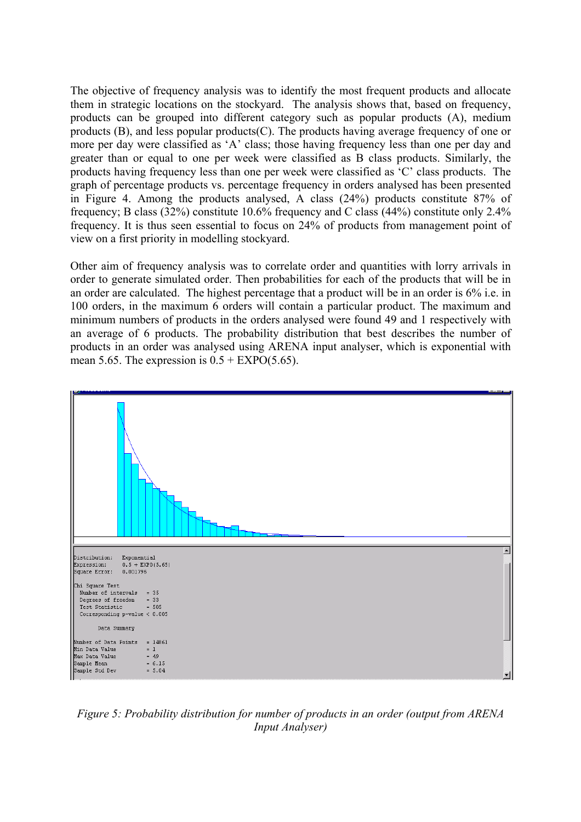The objective of frequency analysis was to identify the most frequent products and allocate them in strategic locations on the stockyard. The analysis shows that, based on frequency, products can be grouped into different category such as popular products (A), medium products (B), and less popular products(C). The products having average frequency of one or more per day were classified as 'A' class; those having frequency less than one per day and greater than or equal to one per week were classified as B class products. Similarly, the products having frequency less than one per week were classified as 'C' class products. The graph of percentage products vs. percentage frequency in orders analysed has been presented in Figure 4. Among the products analysed, A class (24%) products constitute 87% of frequency; B class (32%) constitute 10.6% frequency and C class (44%) constitute only 2.4% frequency. It is thus seen essential to focus on 24% of products from management point of view on a first priority in modelling stockyard.

Other aim of frequency analysis was to correlate order and quantities with lorry arrivals in order to generate simulated order. Then probabilities for each of the products that will be in an order are calculated. The highest percentage that a product will be in an order is 6% i.e. in 100 orders, in the maximum 6 orders will contain a particular product. The maximum and minimum numbers of products in the orders analysed were found 49 and 1 respectively with an average of 6 products. The probability distribution that best describes the number of products in an order was analysed using ARENA input analyser, which is exponential with mean 5.65. The expression is  $0.5 + EXPO(5.65)$ .



*Figure 5: Probability distribution for number of products in an order (output from ARENA Input Analyser)*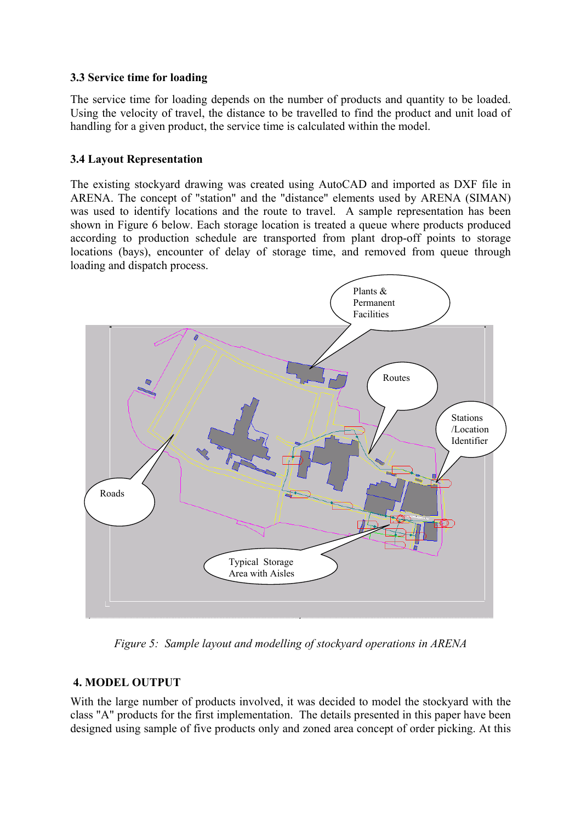## **3.3 Service time for loading**

The service time for loading depends on the number of products and quantity to be loaded. Using the velocity of travel, the distance to be travelled to find the product and unit load of handling for a given product, the service time is calculated within the model.

## **3.4 Layout Representation**

The existing stockyard drawing was created using AutoCAD and imported as DXF file in ARENA. The concept of "station" and the "distance" elements used by ARENA (SIMAN) was used to identify locations and the route to travel. A sample representation has been shown in Figure 6 below. Each storage location is treated a queue where products produced according to production schedule are transported from plant drop-off points to storage locations (bays), encounter of delay of storage time, and removed from queue through loading and dispatch process.



*Figure 5: Sample layout and modelling of stockyard operations in ARENA* 

## **4. MODEL OUTPUT**

With the large number of products involved, it was decided to model the stockyard with the class "A" products for the first implementation. The details presented in this paper have been designed using sample of five products only and zoned area concept of order picking. At this